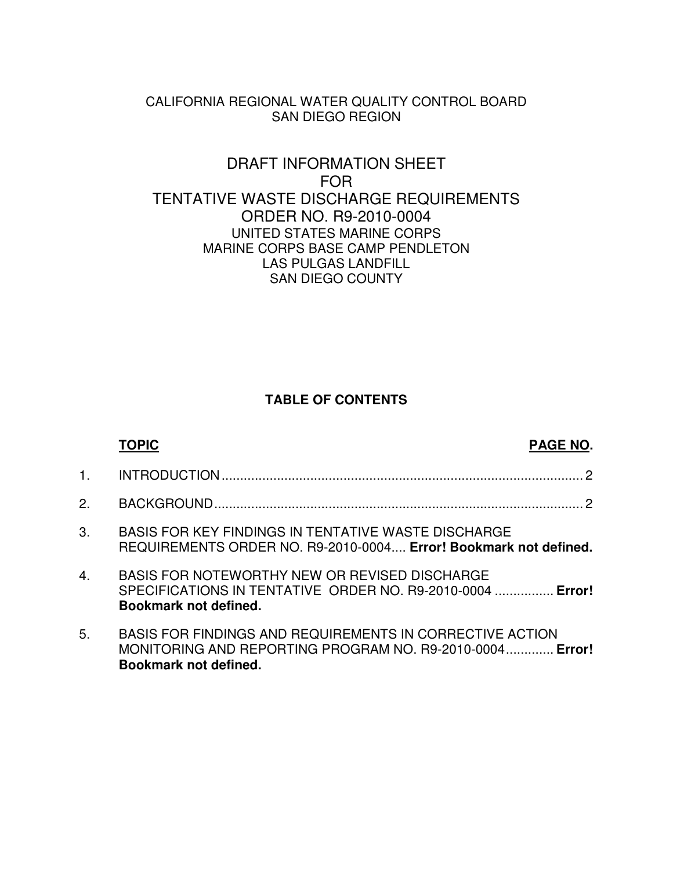### CALIFORNIA REGIONAL WATER QUALITY CONTROL BOARD SAN DIEGO REGION

### DRAFT INFORMATION SHEET FOR TENTATIVE WASTE DISCHARGE REQUIREMENTS ORDER NO. R9-2010-0004 UNITED STATES MARINE CORPS MARINE CORPS BASE CAMP PENDLETON LAS PULGAS LANDFILL SAN DIEGO COUNTY

### **TABLE OF CONTENTS**

|                  | TOPIC                                                                                                                                                | <b>PAGE NO.</b> |
|------------------|------------------------------------------------------------------------------------------------------------------------------------------------------|-----------------|
| $\mathbf{1}$ .   |                                                                                                                                                      |                 |
| 2.               |                                                                                                                                                      |                 |
| 3.               | <b>BASIS FOR KEY FINDINGS IN TENTATIVE WASTE DISCHARGE</b><br>REQUIREMENTS ORDER NO. R9-2010-0004 Error! Bookmark not defined.                       |                 |
| $\overline{4}$ . | BASIS FOR NOTEWORTHY NEW OR REVISED DISCHARGE<br>SPECIFICATIONS IN TENTATIVE ORDER NO. R9-2010-0004  Error!<br>Bookmark not defined.                 |                 |
| 5.               | BASIS FOR FINDINGS AND REQUIREMENTS IN CORRECTIVE ACTION<br>MONITORING AND REPORTING PROGRAM NO. R9-2010-0004 Error!<br><b>Bookmark not defined.</b> |                 |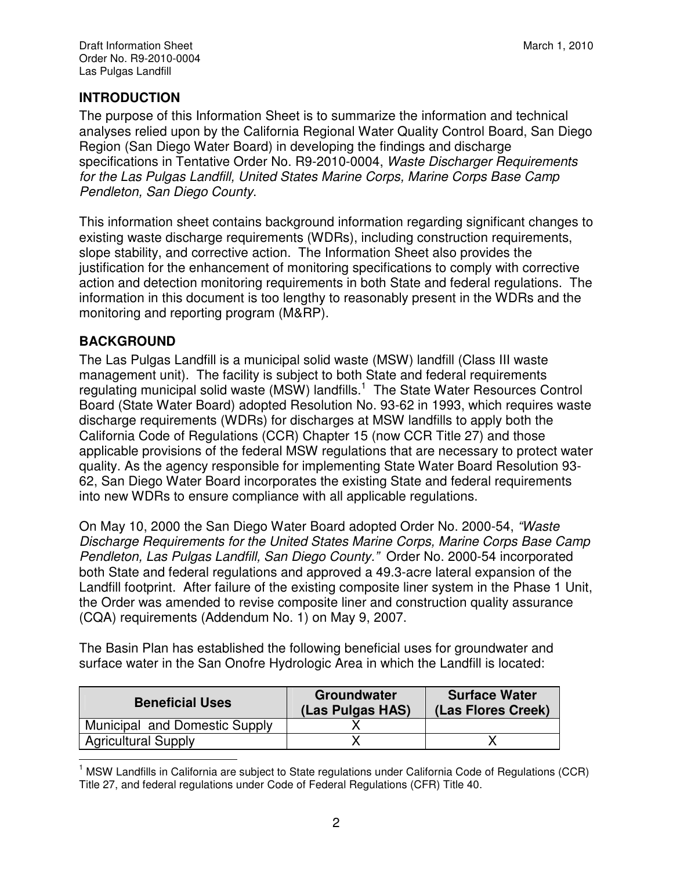# **INTRODUCTION**

The purpose of this Information Sheet is to summarize the information and technical analyses relied upon by the California Regional Water Quality Control Board, San Diego Region (San Diego Water Board) in developing the findings and discharge specifications in Tentative Order No. R9-2010-0004, Waste Discharger Requirements for the Las Pulgas Landfill, United States Marine Corps, Marine Corps Base Camp Pendleton, San Diego County.

This information sheet contains background information regarding significant changes to existing waste discharge requirements (WDRs), including construction requirements, slope stability, and corrective action. The Information Sheet also provides the justification for the enhancement of monitoring specifications to comply with corrective action and detection monitoring requirements in both State and federal regulations. The information in this document is too lengthy to reasonably present in the WDRs and the monitoring and reporting program (M&RP).

# **BACKGROUND**

The Las Pulgas Landfill is a municipal solid waste (MSW) landfill (Class III waste management unit). The facility is subject to both State and federal requirements regulating municipal solid waste (MSW) landfills.<sup>1</sup> The State Water Resources Control Board (State Water Board) adopted Resolution No. 93-62 in 1993, which requires waste discharge requirements (WDRs) for discharges at MSW landfills to apply both the California Code of Regulations (CCR) Chapter 15 (now CCR Title 27) and those applicable provisions of the federal MSW regulations that are necessary to protect water quality. As the agency responsible for implementing State Water Board Resolution 93- 62, San Diego Water Board incorporates the existing State and federal requirements into new WDRs to ensure compliance with all applicable regulations.

On May 10, 2000 the San Diego Water Board adopted Order No. 2000-54, "Waste Discharge Requirements for the United States Marine Corps, Marine Corps Base Camp Pendleton, Las Pulgas Landfill, San Diego County." Order No. 2000-54 incorporated both State and federal regulations and approved a 49.3-acre lateral expansion of the Landfill footprint. After failure of the existing composite liner system in the Phase 1 Unit, the Order was amended to revise composite liner and construction quality assurance (CQA) requirements (Addendum No. 1) on May 9, 2007.

The Basin Plan has established the following beneficial uses for groundwater and surface water in the San Onofre Hydrologic Area in which the Landfill is located:

| <b>Beneficial Uses</b>        | <b>Groundwater</b><br>(Las Pulgas HAS) | <b>Surface Water</b><br>(Las Flores Creek) |
|-------------------------------|----------------------------------------|--------------------------------------------|
| Municipal and Domestic Supply |                                        |                                            |
| <b>Agricultural Supply</b>    |                                        |                                            |

 $\overline{a}$ <sup>1</sup> MSW Landfills in California are subject to State regulations under California Code of Regulations (CCR) Title 27, and federal regulations under Code of Federal Regulations (CFR) Title 40.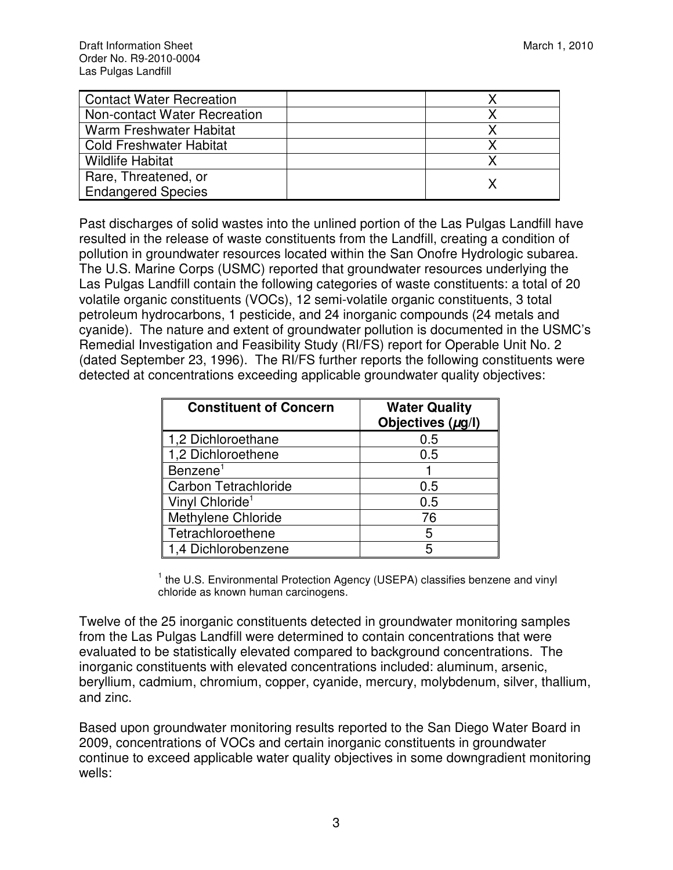| <b>Contact Water Recreation</b> |  |
|---------------------------------|--|
| Non-contact Water Recreation    |  |
| Warm Freshwater Habitat         |  |
| <b>Cold Freshwater Habitat</b>  |  |
| <b>Wildlife Habitat</b>         |  |
| Rare, Threatened, or            |  |
| <b>Endangered Species</b>       |  |

Past discharges of solid wastes into the unlined portion of the Las Pulgas Landfill have resulted in the release of waste constituents from the Landfill, creating a condition of pollution in groundwater resources located within the San Onofre Hydrologic subarea. The U.S. Marine Corps (USMC) reported that groundwater resources underlying the Las Pulgas Landfill contain the following categories of waste constituents: a total of 20 volatile organic constituents (VOCs), 12 semi-volatile organic constituents, 3 total petroleum hydrocarbons, 1 pesticide, and 24 inorganic compounds (24 metals and cyanide). The nature and extent of groundwater pollution is documented in the USMC's Remedial Investigation and Feasibility Study (RI/FS) report for Operable Unit No. 2 (dated September 23, 1996). The RI/FS further reports the following constituents were detected at concentrations exceeding applicable groundwater quality objectives:

| <b>Constituent of Concern</b> | <b>Water Quality</b><br>Objectives $(\mu g/I)$ |
|-------------------------------|------------------------------------------------|
| 1,2 Dichloroethane            | 0.5                                            |
| 1,2 Dichloroethene            | 0.5                                            |
| Benzene <sup>1</sup>          |                                                |
| <b>Carbon Tetrachloride</b>   | 0.5                                            |
| Vinyl Chloride <sup>1</sup>   | 0.5                                            |
| Methylene Chloride            | 76                                             |
| Tetrachloroethene             | 5                                              |
| 1,4 Dichlorobenzene           |                                                |

<sup>1</sup> the U.S. Environmental Protection Agency (USEPA) classifies benzene and vinyl chloride as known human carcinogens.

Twelve of the 25 inorganic constituents detected in groundwater monitoring samples from the Las Pulgas Landfill were determined to contain concentrations that were evaluated to be statistically elevated compared to background concentrations. The inorganic constituents with elevated concentrations included: aluminum, arsenic, beryllium, cadmium, chromium, copper, cyanide, mercury, molybdenum, silver, thallium, and zinc.

Based upon groundwater monitoring results reported to the San Diego Water Board in 2009, concentrations of VOCs and certain inorganic constituents in groundwater continue to exceed applicable water quality objectives in some downgradient monitoring wells: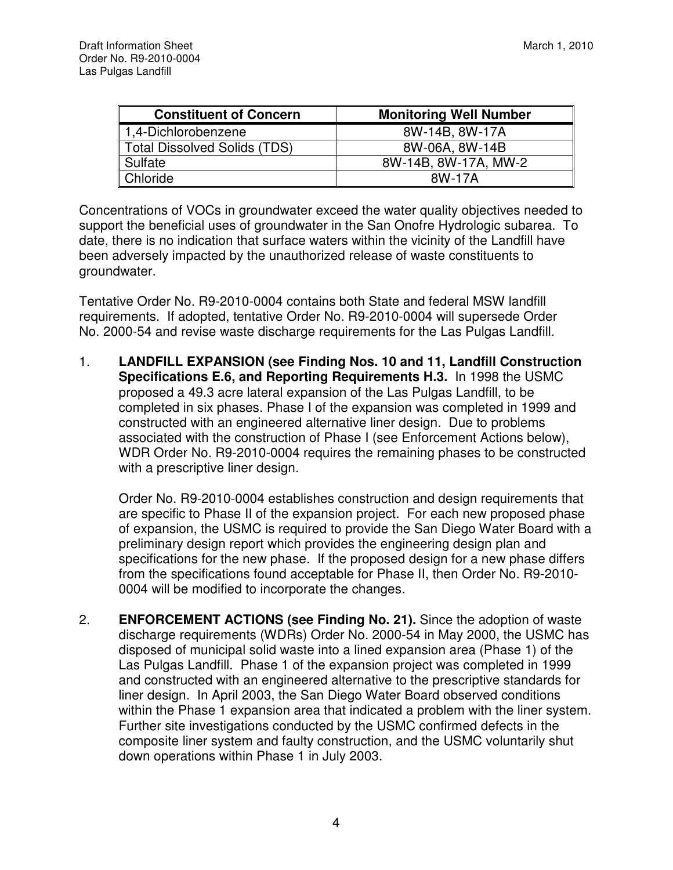| <b>Constituent of Concern</b>       | <b>Monitoring Well Number</b> |
|-------------------------------------|-------------------------------|
| 1,4-Dichlorobenzene                 | 8W-14B, 8W-17A                |
| <b>Total Dissolved Solids (TDS)</b> | 8W-06A, 8W-14B                |
| Sulfate                             | 8W-14B, 8W-17A, MW-2          |
| Chloride                            | 8W-17A                        |

Concentrations of VOCs in groundwater exceed the water quality objectives needed to support the beneficial uses of groundwater in the San Onofre Hydrologic subarea. To date, there is no indication that surface waters within the vicinity of the Landfill have been adversely impacted by the unauthorized release of waste constituents to groundwater.

Tentative Order No. R9-2010-0004 contains both State and federal MSW landfill requirements. If adopted, tentative Order No. R9-2010-0004 will supersede Order No. 2000-54 and revise waste discharge requirements for the Las Pulgas Landfill.

1. **LANDFILL EXPANSION (see Finding Nos. 10 and 11, Landfill Construction Specifications E.6, and Reporting Requirements H.3.** In 1998 the USMC proposed a 49.3 acre lateral expansion of the Las Pulgas Landfill, to be completed in six phases. Phase I of the expansion was completed in 1999 and constructed with an engineered alternative liner design. Due to problems associated with the construction of Phase I (see Enforcement Actions below), WDR Order No. R9-2010-0004 requires the remaining phases to be constructed with a prescriptive liner design.

Order No. R9-2010-0004 establishes construction and design requirements that are specific to Phase II of the expansion project. For each new proposed phase of expansion, the USMC is required to provide the San Diego Water Board with a preliminary design report which provides the engineering design plan and specifications for the new phase. If the proposed design for a new phase differs from the specifications found acceptable for Phase II, then Order No. R9-2010- 0004 will be modified to incorporate the changes.

2. **ENFORCEMENT ACTIONS (see Finding No. 21).** Since the adoption of waste discharge requirements (WDRs) Order No. 2000-54 in May 2000, the USMC has disposed of municipal solid waste into a lined expansion area (Phase 1) of the Las Pulgas Landfill. Phase 1 of the expansion project was completed in 1999 and constructed with an engineered alternative to the prescriptive standards for liner design. In April 2003, the San Diego Water Board observed conditions within the Phase 1 expansion area that indicated a problem with the liner system. Further site investigations conducted by the USMC confirmed defects in the composite liner system and faulty construction, and the USMC voluntarily shut down operations within Phase 1 in July 2003.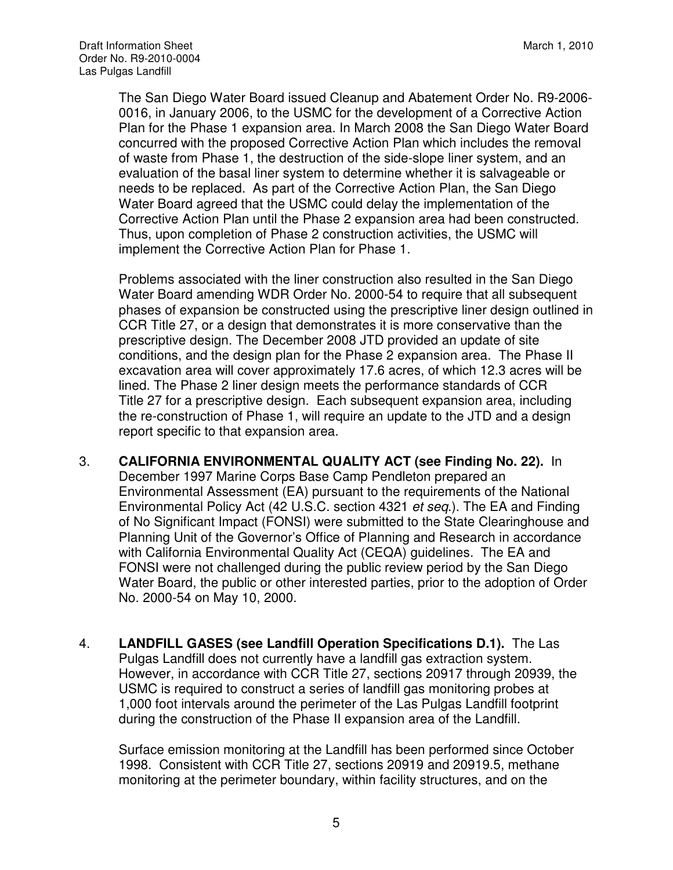The San Diego Water Board issued Cleanup and Abatement Order No. R9-2006- 0016, in January 2006, to the USMC for the development of a Corrective Action Plan for the Phase 1 expansion area. In March 2008 the San Diego Water Board concurred with the proposed Corrective Action Plan which includes the removal of waste from Phase 1, the destruction of the side-slope liner system, and an evaluation of the basal liner system to determine whether it is salvageable or needs to be replaced. As part of the Corrective Action Plan, the San Diego Water Board agreed that the USMC could delay the implementation of the Corrective Action Plan until the Phase 2 expansion area had been constructed. Thus, upon completion of Phase 2 construction activities, the USMC will implement the Corrective Action Plan for Phase 1.

 Problems associated with the liner construction also resulted in the San Diego Water Board amending WDR Order No. 2000-54 to require that all subsequent phases of expansion be constructed using the prescriptive liner design outlined in CCR Title 27, or a design that demonstrates it is more conservative than the prescriptive design. The December 2008 JTD provided an update of site conditions, and the design plan for the Phase 2 expansion area. The Phase II excavation area will cover approximately 17.6 acres, of which 12.3 acres will be lined. The Phase 2 liner design meets the performance standards of CCR Title 27 for a prescriptive design. Each subsequent expansion area, including the re-construction of Phase 1, will require an update to the JTD and a design report specific to that expansion area.

- 3. **CALIFORNIA ENVIRONMENTAL QUALITY ACT (see Finding No. 22).** In December 1997 Marine Corps Base Camp Pendleton prepared an Environmental Assessment (EA) pursuant to the requirements of the National Environmental Policy Act (42 U.S.C. section 4321 et seq.). The EA and Finding of No Significant Impact (FONSI) were submitted to the State Clearinghouse and Planning Unit of the Governor's Office of Planning and Research in accordance with California Environmental Quality Act (CEQA) guidelines. The EA and FONSI were not challenged during the public review period by the San Diego Water Board, the public or other interested parties, prior to the adoption of Order No. 2000-54 on May 10, 2000.
- 4. **LANDFILL GASES (see Landfill Operation Specifications D.1).** The Las Pulgas Landfill does not currently have a landfill gas extraction system. However, in accordance with CCR Title 27, sections 20917 through 20939, the USMC is required to construct a series of landfill gas monitoring probes at 1,000 foot intervals around the perimeter of the Las Pulgas Landfill footprint during the construction of the Phase II expansion area of the Landfill.

Surface emission monitoring at the Landfill has been performed since October 1998. Consistent with CCR Title 27, sections 20919 and 20919.5, methane monitoring at the perimeter boundary, within facility structures, and on the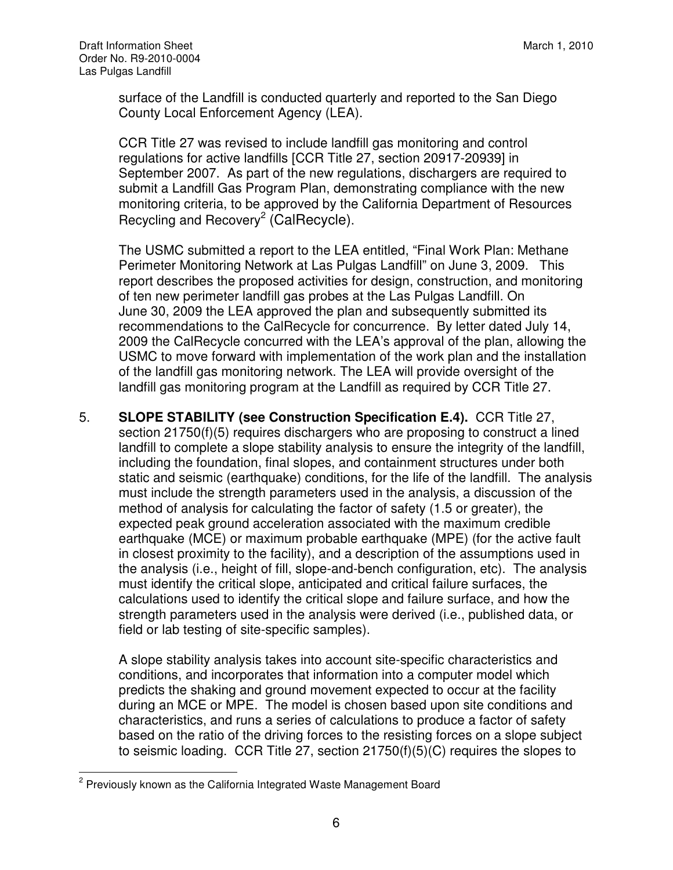surface of the Landfill is conducted quarterly and reported to the San Diego County Local Enforcement Agency (LEA).

CCR Title 27 was revised to include landfill gas monitoring and control regulations for active landfills [CCR Title 27, section 20917-20939] in September 2007. As part of the new regulations, dischargers are required to submit a Landfill Gas Program Plan, demonstrating compliance with the new monitoring criteria, to be approved by the California Department of Resources Recycling and Recovery<sup>2</sup> (CalRecycle).

The USMC submitted a report to the LEA entitled, "Final Work Plan: Methane Perimeter Monitoring Network at Las Pulgas Landfill" on June 3, 2009. This report describes the proposed activities for design, construction, and monitoring of ten new perimeter landfill gas probes at the Las Pulgas Landfill. On June 30, 2009 the LEA approved the plan and subsequently submitted its recommendations to the CalRecycle for concurrence. By letter dated July 14, 2009 the CalRecycle concurred with the LEA's approval of the plan, allowing the USMC to move forward with implementation of the work plan and the installation of the landfill gas monitoring network. The LEA will provide oversight of the landfill gas monitoring program at the Landfill as required by CCR Title 27.

5. **SLOPE STABILITY (see Construction Specification E.4).** CCR Title 27, section 21750(f)(5) requires dischargers who are proposing to construct a lined landfill to complete a slope stability analysis to ensure the integrity of the landfill, including the foundation, final slopes, and containment structures under both static and seismic (earthquake) conditions, for the life of the landfill. The analysis must include the strength parameters used in the analysis, a discussion of the method of analysis for calculating the factor of safety (1.5 or greater), the expected peak ground acceleration associated with the maximum credible earthquake (MCE) or maximum probable earthquake (MPE) (for the active fault in closest proximity to the facility), and a description of the assumptions used in the analysis (i.e., height of fill, slope-and-bench configuration, etc). The analysis must identify the critical slope, anticipated and critical failure surfaces, the calculations used to identify the critical slope and failure surface, and how the strength parameters used in the analysis were derived (i.e., published data, or field or lab testing of site-specific samples).

A slope stability analysis takes into account site-specific characteristics and conditions, and incorporates that information into a computer model which predicts the shaking and ground movement expected to occur at the facility during an MCE or MPE. The model is chosen based upon site conditions and characteristics, and runs a series of calculations to produce a factor of safety based on the ratio of the driving forces to the resisting forces on a slope subject to seismic loading. CCR Title 27, section 21750(f)(5)(C) requires the slopes to

**EXECUTE:**<br><sup>2</sup> Previously known as the California Integrated Waste Management Board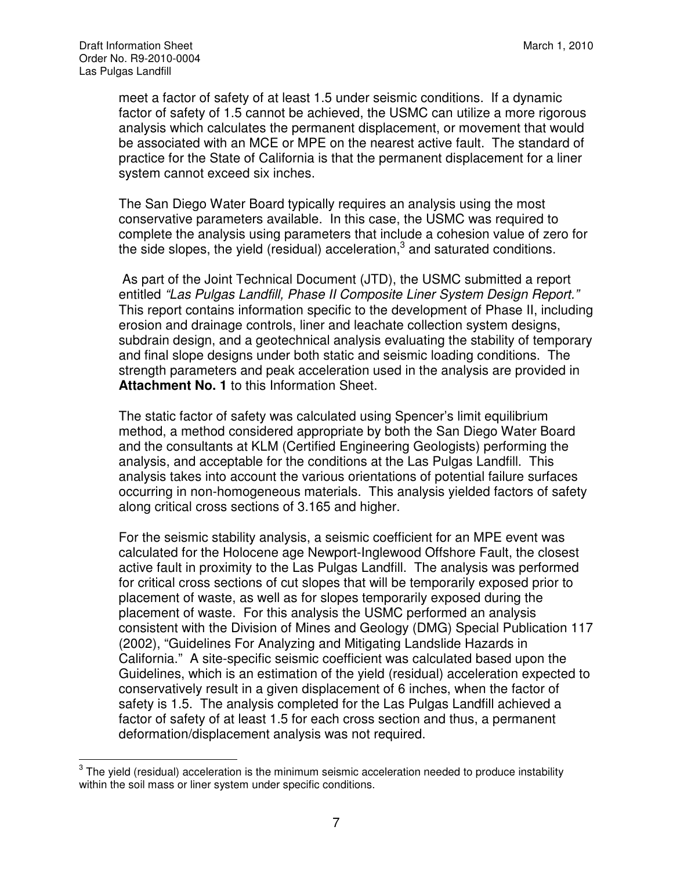meet a factor of safety of at least 1.5 under seismic conditions. If a dynamic factor of safety of 1.5 cannot be achieved, the USMC can utilize a more rigorous analysis which calculates the permanent displacement, or movement that would be associated with an MCE or MPE on the nearest active fault. The standard of practice for the State of California is that the permanent displacement for a liner system cannot exceed six inches.

The San Diego Water Board typically requires an analysis using the most conservative parameters available. In this case, the USMC was required to complete the analysis using parameters that include a cohesion value of zero for the side slopes, the yield (residual) acceleration, $3$  and saturated conditions.

 As part of the Joint Technical Document (JTD), the USMC submitted a report entitled "Las Pulgas Landfill, Phase II Composite Liner System Design Report." This report contains information specific to the development of Phase II, including erosion and drainage controls, liner and leachate collection system designs, subdrain design, and a geotechnical analysis evaluating the stability of temporary and final slope designs under both static and seismic loading conditions. The strength parameters and peak acceleration used in the analysis are provided in **Attachment No. 1** to this Information Sheet.

The static factor of safety was calculated using Spencer's limit equilibrium method, a method considered appropriate by both the San Diego Water Board and the consultants at KLM (Certified Engineering Geologists) performing the analysis, and acceptable for the conditions at the Las Pulgas Landfill. This analysis takes into account the various orientations of potential failure surfaces occurring in non-homogeneous materials. This analysis yielded factors of safety along critical cross sections of 3.165 and higher.

For the seismic stability analysis, a seismic coefficient for an MPE event was calculated for the Holocene age Newport-Inglewood Offshore Fault, the closest active fault in proximity to the Las Pulgas Landfill. The analysis was performed for critical cross sections of cut slopes that will be temporarily exposed prior to placement of waste, as well as for slopes temporarily exposed during the placement of waste. For this analysis the USMC performed an analysis consistent with the Division of Mines and Geology (DMG) Special Publication 117 (2002), "Guidelines For Analyzing and Mitigating Landslide Hazards in California." A site-specific seismic coefficient was calculated based upon the Guidelines, which is an estimation of the yield (residual) acceleration expected to conservatively result in a given displacement of 6 inches, when the factor of safety is 1.5. The analysis completed for the Las Pulgas Landfill achieved a factor of safety of at least 1.5 for each cross section and thus, a permanent deformation/displacement analysis was not required.

**EXECUTE:**<br><sup>3</sup> The yield (residual) acceleration is the minimum seismic acceleration needed to produce instability within the soil mass or liner system under specific conditions.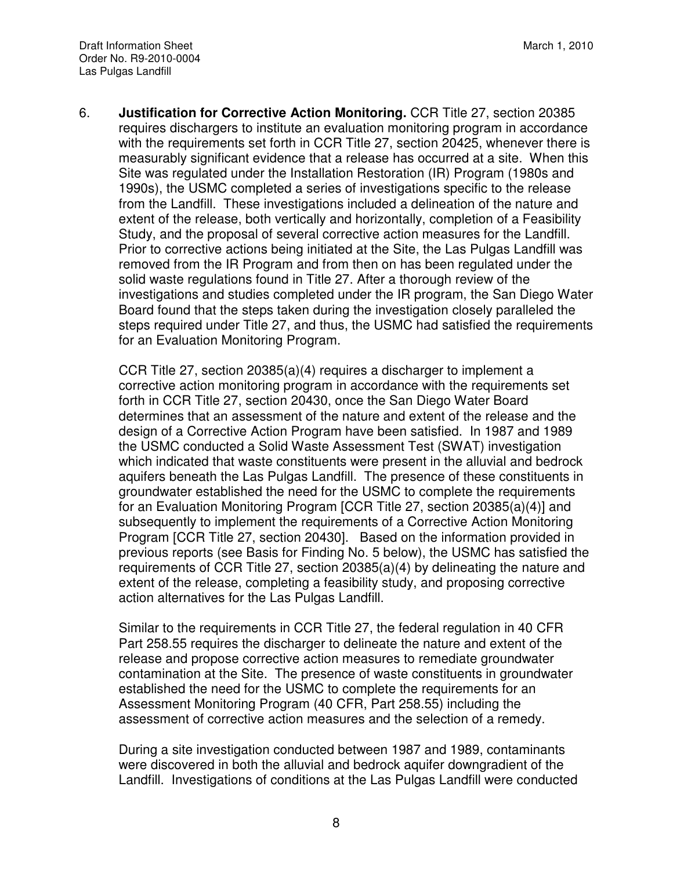6. **Justification for Corrective Action Monitoring.** CCR Title 27, section 20385 requires dischargers to institute an evaluation monitoring program in accordance with the requirements set forth in CCR Title 27, section 20425, whenever there is measurably significant evidence that a release has occurred at a site. When this Site was regulated under the Installation Restoration (IR) Program (1980s and 1990s), the USMC completed a series of investigations specific to the release from the Landfill. These investigations included a delineation of the nature and extent of the release, both vertically and horizontally, completion of a Feasibility Study, and the proposal of several corrective action measures for the Landfill. Prior to corrective actions being initiated at the Site, the Las Pulgas Landfill was removed from the IR Program and from then on has been regulated under the solid waste regulations found in Title 27. After a thorough review of the investigations and studies completed under the IR program, the San Diego Water Board found that the steps taken during the investigation closely paralleled the steps required under Title 27, and thus, the USMC had satisfied the requirements for an Evaluation Monitoring Program.

CCR Title 27, section 20385(a)(4) requires a discharger to implement a corrective action monitoring program in accordance with the requirements set forth in CCR Title 27, section 20430, once the San Diego Water Board determines that an assessment of the nature and extent of the release and the design of a Corrective Action Program have been satisfied. In 1987 and 1989 the USMC conducted a Solid Waste Assessment Test (SWAT) investigation which indicated that waste constituents were present in the alluvial and bedrock aquifers beneath the Las Pulgas Landfill. The presence of these constituents in groundwater established the need for the USMC to complete the requirements for an Evaluation Monitoring Program [CCR Title 27, section 20385(a)(4)] and subsequently to implement the requirements of a Corrective Action Monitoring Program [CCR Title 27, section 20430]. Based on the information provided in previous reports (see Basis for Finding No. 5 below), the USMC has satisfied the requirements of CCR Title 27, section 20385(a)(4) by delineating the nature and extent of the release, completing a feasibility study, and proposing corrective action alternatives for the Las Pulgas Landfill.

Similar to the requirements in CCR Title 27, the federal regulation in 40 CFR Part 258.55 requires the discharger to delineate the nature and extent of the release and propose corrective action measures to remediate groundwater contamination at the Site. The presence of waste constituents in groundwater established the need for the USMC to complete the requirements for an Assessment Monitoring Program (40 CFR, Part 258.55) including the assessment of corrective action measures and the selection of a remedy.

During a site investigation conducted between 1987 and 1989, contaminants were discovered in both the alluvial and bedrock aquifer downgradient of the Landfill. Investigations of conditions at the Las Pulgas Landfill were conducted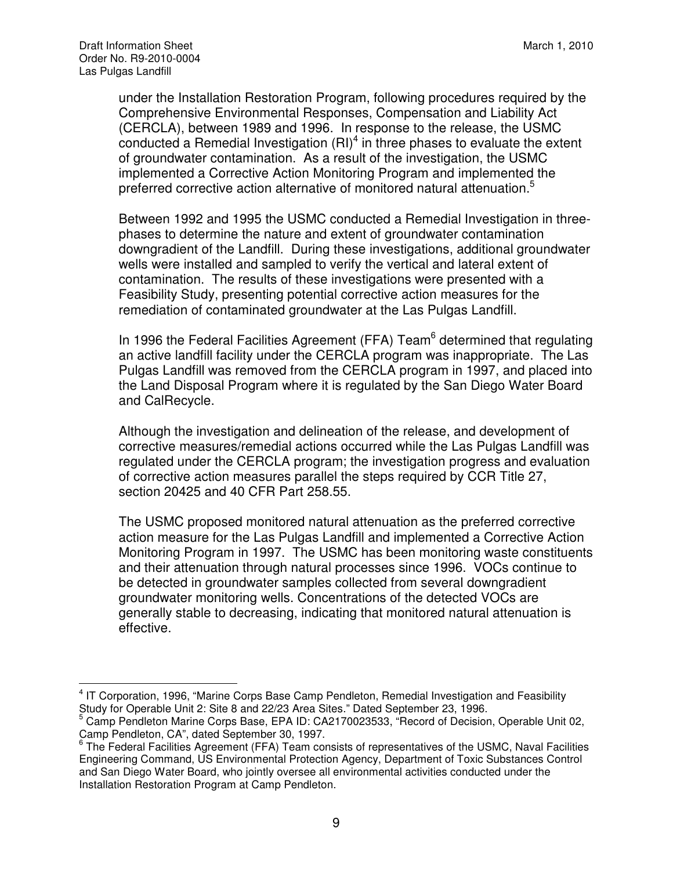under the Installation Restoration Program, following procedures required by the Comprehensive Environmental Responses, Compensation and Liability Act (CERCLA), between 1989 and 1996. In response to the release, the USMC conducted a Remedial Investigation  $(RI)^4$  in three phases to evaluate the extent of groundwater contamination. As a result of the investigation, the USMC implemented a Corrective Action Monitoring Program and implemented the preferred corrective action alternative of monitored natural attenuation.<sup>5</sup>

Between 1992 and 1995 the USMC conducted a Remedial Investigation in threephases to determine the nature and extent of groundwater contamination downgradient of the Landfill. During these investigations, additional groundwater wells were installed and sampled to verify the vertical and lateral extent of contamination. The results of these investigations were presented with a Feasibility Study, presenting potential corrective action measures for the remediation of contaminated groundwater at the Las Pulgas Landfill.

In 1996 the Federal Facilities Agreement (FFA) Team<sup>6</sup> determined that regulating an active landfill facility under the CERCLA program was inappropriate. The Las Pulgas Landfill was removed from the CERCLA program in 1997, and placed into the Land Disposal Program where it is regulated by the San Diego Water Board and CalRecycle.

Although the investigation and delineation of the release, and development of corrective measures/remedial actions occurred while the Las Pulgas Landfill was regulated under the CERCLA program; the investigation progress and evaluation of corrective action measures parallel the steps required by CCR Title 27, section 20425 and 40 CFR Part 258.55.

The USMC proposed monitored natural attenuation as the preferred corrective action measure for the Las Pulgas Landfill and implemented a Corrective Action Monitoring Program in 1997. The USMC has been monitoring waste constituents and their attenuation through natural processes since 1996. VOCs continue to be detected in groundwater samples collected from several downgradient groundwater monitoring wells. Concentrations of the detected VOCs are generally stable to decreasing, indicating that monitored natural attenuation is effective.

 $\overline{\phantom{a}}$ <sup>4</sup> IT Corporation, 1996, "Marine Corps Base Camp Pendleton, Remedial Investigation and Feasibility Study for Operable Unit 2: Site 8 and 22/23 Area Sites." Dated September 23, 1996.

<sup>5</sup> Camp Pendleton Marine Corps Base, EPA ID: CA2170023533, "Record of Decision, Operable Unit 02, Camp Pendleton, CA", dated September 30, 1997.

 $^6$  The Federal Facilities Agreement (FFA) Team consists of representatives of the USMC, Naval Facilities Engineering Command, US Environmental Protection Agency, Department of Toxic Substances Control and San Diego Water Board, who jointly oversee all environmental activities conducted under the Installation Restoration Program at Camp Pendleton.